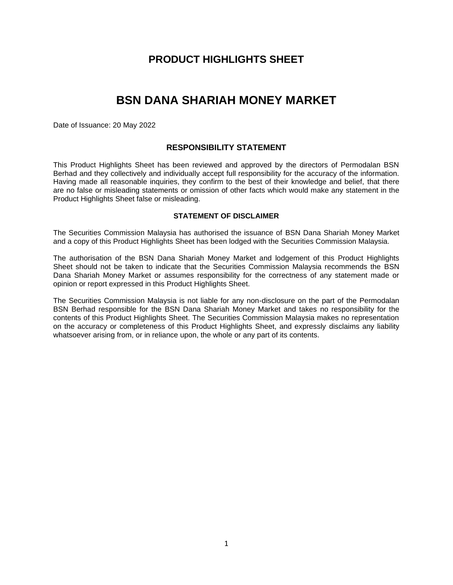## **PRODUCT HIGHLIGHTS SHEET**

# **BSN DANA SHARIAH MONEY MARKET**

Date of Issuance: 20 May 2022

## **RESPONSIBILITY STATEMENT**

This Product Highlights Sheet has been reviewed and approved by the directors of Permodalan BSN Berhad and they collectively and individually accept full responsibility for the accuracy of the information. Having made all reasonable inquiries, they confirm to the best of their knowledge and belief, that there are no false or misleading statements or omission of other facts which would make any statement in the Product Highlights Sheet false or misleading.

### **STATEMENT OF DISCLAIMER**

The Securities Commission Malaysia has authorised the issuance of BSN Dana Shariah Money Market and a copy of this Product Highlights Sheet has been lodged with the Securities Commission Malaysia.

The authorisation of the BSN Dana Shariah Money Market and lodgement of this Product Highlights Sheet should not be taken to indicate that the Securities Commission Malaysia recommends the BSN Dana Shariah Money Market or assumes responsibility for the correctness of any statement made or opinion or report expressed in this Product Highlights Sheet.

The Securities Commission Malaysia is not liable for any non-disclosure on the part of the Permodalan BSN Berhad responsible for the BSN Dana Shariah Money Market and takes no responsibility for the contents of this Product Highlights Sheet. The Securities Commission Malaysia makes no representation on the accuracy or completeness of this Product Highlights Sheet, and expressly disclaims any liability whatsoever arising from, or in reliance upon, the whole or any part of its contents.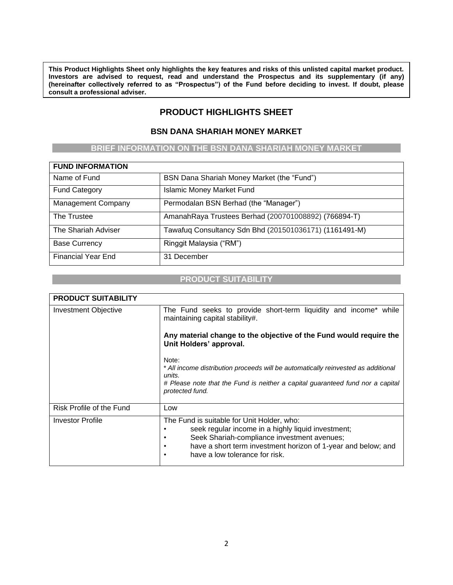**This Product Highlights Sheet only highlights the key features and risks of this unlisted capital market product. Investors are advised to request, read and understand the Prospectus and its supplementary (if any) (hereinafter collectively referred to as "Prospectus") of the Fund before deciding to invest. If doubt, please consult a professional adviser.**

## **PRODUCT HIGHLIGHTS SHEET**

## **BSN DANA SHARIAH MONEY MARKET**

## **BRIEF INFORMATION ON THE BSN DANA SHARIAH MONEY MARKET**

| <b>FUND INFORMATION</b>   |                                                        |
|---------------------------|--------------------------------------------------------|
| Name of Fund              | BSN Dana Shariah Money Market (the "Fund")             |
| <b>Fund Category</b>      | <b>Islamic Money Market Fund</b>                       |
| <b>Management Company</b> | Permodalan BSN Berhad (the "Manager")                  |
| The Trustee               | AmanahRaya Trustees Berhad (200701008892) (766894-T)   |
| The Shariah Adviser       | Tawafuq Consultancy Sdn Bhd (201501036171) (1161491-M) |
| <b>Base Currency</b>      | Ringgit Malaysia ("RM")                                |
| <b>Financial Year End</b> | 31 December                                            |

#### **PRODUCT SUITABILITY**

| <b>PRODUCT SUITABILITY</b>  |                                                                                                                                                                                                                                                                      |  |  |  |  |  |  |  |
|-----------------------------|----------------------------------------------------------------------------------------------------------------------------------------------------------------------------------------------------------------------------------------------------------------------|--|--|--|--|--|--|--|
| <b>Investment Objective</b> | The Fund seeks to provide short-term liquidity and income* while<br>maintaining capital stability#.                                                                                                                                                                  |  |  |  |  |  |  |  |
|                             | Any material change to the objective of the Fund would require the<br>Unit Holders' approval.                                                                                                                                                                        |  |  |  |  |  |  |  |
|                             | Note:<br>* All income distribution proceeds will be automatically reinvested as additional<br>units.<br># Please note that the Fund is neither a capital guaranteed fund nor a capital<br>protected fund.                                                            |  |  |  |  |  |  |  |
| Risk Profile of the Fund    |                                                                                                                                                                                                                                                                      |  |  |  |  |  |  |  |
|                             | Low                                                                                                                                                                                                                                                                  |  |  |  |  |  |  |  |
| <b>Investor Profile</b>     | The Fund is suitable for Unit Holder, who:<br>seek regular income in a highly liquid investment;<br>Seek Shariah-compliance investment avenues;<br>have a short term investment horizon of 1-year and below; and<br>٠<br>have a low tolerance for risk.<br>$\bullet$ |  |  |  |  |  |  |  |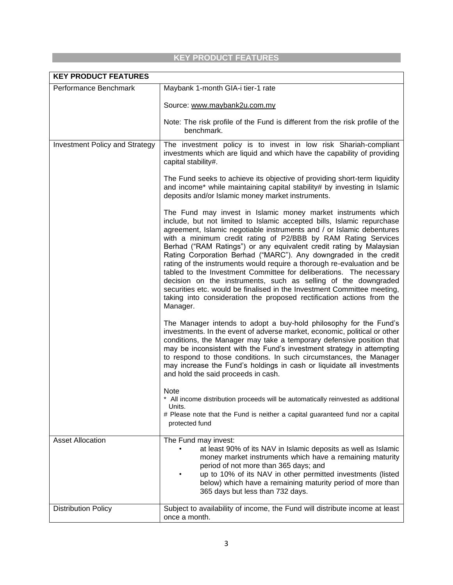## **KEY PRODUCT FEATURES**

| <b>KEY PRODUCT FEATURES</b>    |                                                                                                                                                                                                                                                                                                                                                                                                                                                                                                                                                                                                                                                                                                                                                                                                                  |  |  |  |  |  |
|--------------------------------|------------------------------------------------------------------------------------------------------------------------------------------------------------------------------------------------------------------------------------------------------------------------------------------------------------------------------------------------------------------------------------------------------------------------------------------------------------------------------------------------------------------------------------------------------------------------------------------------------------------------------------------------------------------------------------------------------------------------------------------------------------------------------------------------------------------|--|--|--|--|--|
| Performance Benchmark          | Maybank 1-month GIA-i tier-1 rate                                                                                                                                                                                                                                                                                                                                                                                                                                                                                                                                                                                                                                                                                                                                                                                |  |  |  |  |  |
|                                | Source: www.maybank2u.com.my                                                                                                                                                                                                                                                                                                                                                                                                                                                                                                                                                                                                                                                                                                                                                                                     |  |  |  |  |  |
|                                | Note: The risk profile of the Fund is different from the risk profile of the<br>benchmark.                                                                                                                                                                                                                                                                                                                                                                                                                                                                                                                                                                                                                                                                                                                       |  |  |  |  |  |
| Investment Policy and Strategy | The investment policy is to invest in low risk Shariah-compliant<br>investments which are liquid and which have the capability of providing<br>capital stability#.                                                                                                                                                                                                                                                                                                                                                                                                                                                                                                                                                                                                                                               |  |  |  |  |  |
|                                | The Fund seeks to achieve its objective of providing short-term liquidity<br>and income* while maintaining capital stability# by investing in Islamic<br>deposits and/or Islamic money market instruments.                                                                                                                                                                                                                                                                                                                                                                                                                                                                                                                                                                                                       |  |  |  |  |  |
|                                | The Fund may invest in Islamic money market instruments which<br>include, but not limited to Islamic accepted bills, Islamic repurchase<br>agreement, Islamic negotiable instruments and / or Islamic debentures<br>with a minimum credit rating of P2/BBB by RAM Rating Services<br>Berhad ("RAM Ratings") or any equivalent credit rating by Malaysian<br>Rating Corporation Berhad ("MARC"). Any downgraded in the credit<br>rating of the instruments would require a thorough re-evaluation and be<br>tabled to the Investment Committee for deliberations. The necessary<br>decision on the instruments, such as selling of the downgraded<br>securities etc. would be finalised in the Investment Committee meeting,<br>taking into consideration the proposed rectification actions from the<br>Manager. |  |  |  |  |  |
|                                | The Manager intends to adopt a buy-hold philosophy for the Fund's<br>investments. In the event of adverse market, economic, political or other<br>conditions, the Manager may take a temporary defensive position that<br>may be inconsistent with the Fund's investment strategy in attempting<br>to respond to those conditions. In such circumstances, the Manager<br>may increase the Fund's holdings in cash or liquidate all investments<br>and hold the said proceeds in cash.                                                                                                                                                                                                                                                                                                                            |  |  |  |  |  |
|                                | Note<br>* All income distribution proceeds will be automatically reinvested as additional<br>Units.<br># Please note that the Fund is neither a capital guaranteed fund nor a capital<br>protected fund                                                                                                                                                                                                                                                                                                                                                                                                                                                                                                                                                                                                          |  |  |  |  |  |
| <b>Asset Allocation</b>        | The Fund may invest:<br>at least 90% of its NAV in Islamic deposits as well as Islamic<br>money market instruments which have a remaining maturity<br>period of not more than 365 days; and<br>up to 10% of its NAV in other permitted investments (listed<br>below) which have a remaining maturity period of more than<br>365 days but less than 732 days.                                                                                                                                                                                                                                                                                                                                                                                                                                                     |  |  |  |  |  |
| <b>Distribution Policy</b>     | Subject to availability of income, the Fund will distribute income at least<br>once a month.                                                                                                                                                                                                                                                                                                                                                                                                                                                                                                                                                                                                                                                                                                                     |  |  |  |  |  |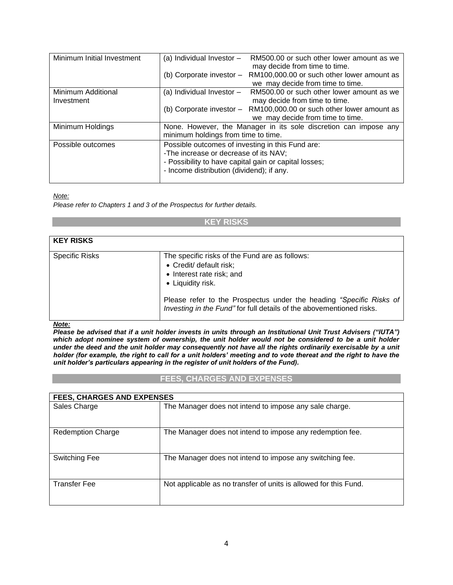| Minimum Initial Investment | (a) Individual Investor $-$<br>RM500.00 or such other lower amount as we |  |  |  |  |  |
|----------------------------|--------------------------------------------------------------------------|--|--|--|--|--|
|                            | may decide from time to time.                                            |  |  |  |  |  |
|                            |                                                                          |  |  |  |  |  |
|                            | RM100,000.00 or such other lower amount as<br>(b) Corporate investor -   |  |  |  |  |  |
|                            | we may decide from time to time.                                         |  |  |  |  |  |
| Minimum Additional         | (a) Individual Investor $-$<br>RM500.00 or such other lower amount as we |  |  |  |  |  |
| Investment                 | may decide from time to time.                                            |  |  |  |  |  |
|                            | (b) Corporate investor - RM100,000.00 or such other lower amount as      |  |  |  |  |  |
|                            | we may decide from time to time.                                         |  |  |  |  |  |
| Minimum Holdings           | None. However, the Manager in its sole discretion can impose any         |  |  |  |  |  |
|                            |                                                                          |  |  |  |  |  |
|                            | minimum holdings from time to time.                                      |  |  |  |  |  |
| Possible outcomes          | Possible outcomes of investing in this Fund are:                         |  |  |  |  |  |
|                            | -The increase or decrease of its NAV;                                    |  |  |  |  |  |
|                            |                                                                          |  |  |  |  |  |
|                            | - Possibility to have capital gain or capital losses;                    |  |  |  |  |  |
|                            | - Income distribution (dividend); if any.                                |  |  |  |  |  |
|                            |                                                                          |  |  |  |  |  |

*Note:*

*Please refer to Chapters 1 and 3 of the Prospectus for further details.*

#### **KEY RISKS**

| <b>KEY RISKS</b>      |                                                                                                                                                                                                                                                                            |
|-----------------------|----------------------------------------------------------------------------------------------------------------------------------------------------------------------------------------------------------------------------------------------------------------------------|
| <b>Specific Risks</b> | The specific risks of the Fund are as follows:<br>• Credit/ default risk;<br>• Interest rate risk; and<br>• Liquidity risk.<br>Please refer to the Prospectus under the heading "Specific Risks of<br>Investing in the Fund" for full details of the abovementioned risks. |

#### *Note:*

*Please be advised that if a unit holder invests in units through an Institutional Unit Trust Advisers ("IUTA") which adopt nominee system of ownership, the unit holder would not be considered to be a unit holder under the deed and the unit holder may consequently not have all the rights ordinarily exercisable by a unit holder (for example, the right to call for a unit holders' meeting and to vote thereat and the right to have the unit holder's particulars appearing in the register of unit holders of the Fund).*

#### **FEES, CHARGES AND EXPENSES**

| <b>FEES, CHARGES AND EXPENSES</b> |                                                                  |  |  |  |  |  |
|-----------------------------------|------------------------------------------------------------------|--|--|--|--|--|
| Sales Charge                      | The Manager does not intend to impose any sale charge.           |  |  |  |  |  |
| <b>Redemption Charge</b>          | The Manager does not intend to impose any redemption fee.        |  |  |  |  |  |
| Switching Fee                     | The Manager does not intend to impose any switching fee.         |  |  |  |  |  |
| Transfer Fee                      | Not applicable as no transfer of units is allowed for this Fund. |  |  |  |  |  |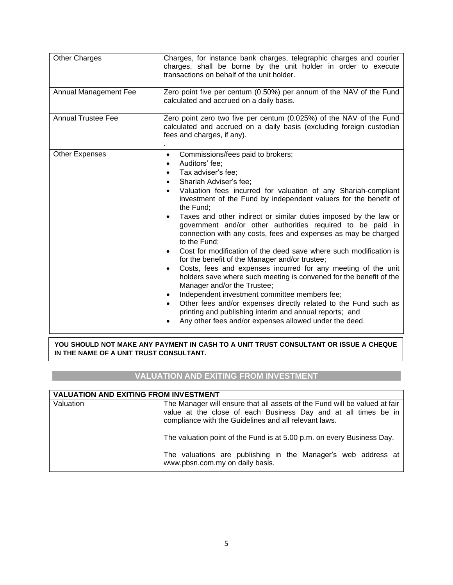| <b>Other Charges</b>      | Charges, for instance bank charges, telegraphic charges and courier<br>charges, shall be borne by the unit holder in order to execute<br>transactions on behalf of the unit holder.                                                                                                                                                                                                                                                                                                                                                                                                                                                                                                                                                                                                                                                                                                                                                                                                                                                                                                                                                                |  |  |  |  |  |
|---------------------------|----------------------------------------------------------------------------------------------------------------------------------------------------------------------------------------------------------------------------------------------------------------------------------------------------------------------------------------------------------------------------------------------------------------------------------------------------------------------------------------------------------------------------------------------------------------------------------------------------------------------------------------------------------------------------------------------------------------------------------------------------------------------------------------------------------------------------------------------------------------------------------------------------------------------------------------------------------------------------------------------------------------------------------------------------------------------------------------------------------------------------------------------------|--|--|--|--|--|
| Annual Management Fee     | Zero point five per centum (0.50%) per annum of the NAV of the Fund<br>calculated and accrued on a daily basis.                                                                                                                                                                                                                                                                                                                                                                                                                                                                                                                                                                                                                                                                                                                                                                                                                                                                                                                                                                                                                                    |  |  |  |  |  |
| <b>Annual Trustee Fee</b> | Zero point zero two five per centum (0.025%) of the NAV of the Fund<br>calculated and accrued on a daily basis (excluding foreign custodian<br>fees and charges, if any).                                                                                                                                                                                                                                                                                                                                                                                                                                                                                                                                                                                                                                                                                                                                                                                                                                                                                                                                                                          |  |  |  |  |  |
| <b>Other Expenses</b>     | Commissions/fees paid to brokers;<br>$\bullet$<br>Auditors' fee;<br>$\bullet$<br>Tax adviser's fee;<br>$\bullet$<br>Shariah Adviser's fee;<br>$\bullet$<br>Valuation fees incurred for valuation of any Shariah-compliant<br>$\bullet$<br>investment of the Fund by independent valuers for the benefit of<br>the Fund;<br>Taxes and other indirect or similar duties imposed by the law or<br>$\bullet$<br>government and/or other authorities required to be paid in<br>connection with any costs, fees and expenses as may be charged<br>to the Fund;<br>Cost for modification of the deed save where such modification is<br>$\bullet$<br>for the benefit of the Manager and/or trustee;<br>Costs, fees and expenses incurred for any meeting of the unit<br>$\bullet$<br>holders save where such meeting is convened for the benefit of the<br>Manager and/or the Trustee;<br>Independent investment committee members fee;<br>$\bullet$<br>Other fees and/or expenses directly related to the Fund such as<br>$\bullet$<br>printing and publishing interim and annual reports; and<br>Any other fees and/or expenses allowed under the deed. |  |  |  |  |  |

**YOU SHOULD NOT MAKE ANY PAYMENT IN CASH TO A UNIT TRUST CONSULTANT OR ISSUE A CHEQUE IN THE NAME OF A UNIT TRUST CONSULTANT.**

## **VALUATION AND EXITING FROM INVESTMENT**

| <b>VALUATION AND EXITING FROM INVESTMENT</b> |                                                                                                                                                                                                       |  |  |  |  |  |
|----------------------------------------------|-------------------------------------------------------------------------------------------------------------------------------------------------------------------------------------------------------|--|--|--|--|--|
| Valuation                                    | The Manager will ensure that all assets of the Fund will be valued at fair<br>value at the close of each Business Day and at all times be in<br>compliance with the Guidelines and all relevant laws. |  |  |  |  |  |
|                                              | The valuation point of the Fund is at 5.00 p.m. on every Business Day.                                                                                                                                |  |  |  |  |  |
|                                              | The valuations are publishing in the Manager's web address at<br>www.pbsn.com.my on daily basis.                                                                                                      |  |  |  |  |  |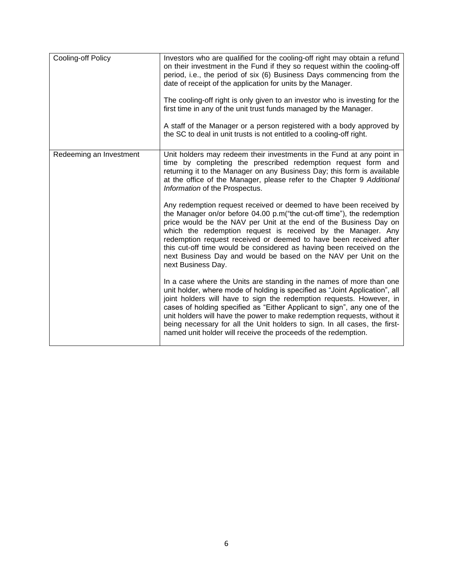| Cooling-off Policy      | Investors who are qualified for the cooling-off right may obtain a refund<br>on their investment in the Fund if they so request within the cooling-off<br>period, i.e., the period of six (6) Business Days commencing from the<br>date of receipt of the application for units by the Manager.<br>The cooling-off right is only given to an investor who is investing for the<br>first time in any of the unit trust funds managed by the Manager.<br>A staff of the Manager or a person registered with a body approved by<br>the SC to deal in unit trusts is not entitled to a cooling-off right. |
|-------------------------|-------------------------------------------------------------------------------------------------------------------------------------------------------------------------------------------------------------------------------------------------------------------------------------------------------------------------------------------------------------------------------------------------------------------------------------------------------------------------------------------------------------------------------------------------------------------------------------------------------|
| Redeeming an Investment | Unit holders may redeem their investments in the Fund at any point in<br>time by completing the prescribed redemption request form and<br>returning it to the Manager on any Business Day; this form is available<br>at the office of the Manager, please refer to the Chapter 9 Additional<br>Information of the Prospectus.                                                                                                                                                                                                                                                                         |
|                         | Any redemption request received or deemed to have been received by<br>the Manager on/or before 04.00 p.m("the cut-off time"), the redemption<br>price would be the NAV per Unit at the end of the Business Day on<br>which the redemption request is received by the Manager. Any<br>redemption request received or deemed to have been received after<br>this cut-off time would be considered as having been received on the<br>next Business Day and would be based on the NAV per Unit on the<br>next Business Day.                                                                               |
|                         | In a case where the Units are standing in the names of more than one<br>unit holder, where mode of holding is specified as "Joint Application", all<br>joint holders will have to sign the redemption requests. However, in<br>cases of holding specified as "Either Applicant to sign", any one of the<br>unit holders will have the power to make redemption requests, without it<br>being necessary for all the Unit holders to sign. In all cases, the first-<br>named unit holder will receive the proceeds of the redemption.                                                                   |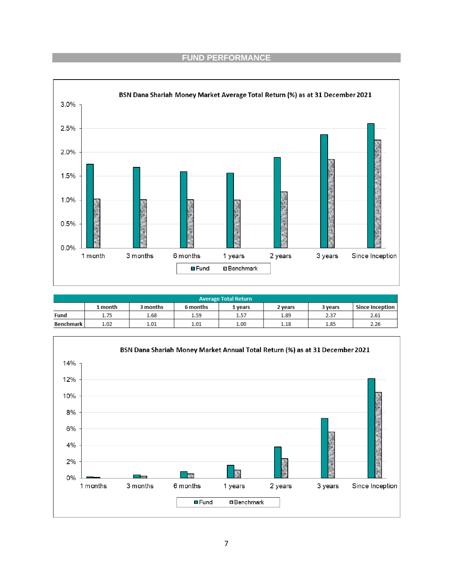## **FUND PERFORMANCE**



| <b>Average Total Return</b>                                      |      |      |      |      |      |                        |      |
|------------------------------------------------------------------|------|------|------|------|------|------------------------|------|
| 1 month<br>3 months<br>6 months<br>3 years<br>2 vears<br>1 vears |      |      |      |      |      | <b>Since Inception</b> |      |
| <b>Fund</b>                                                      | 1.75 | 1.68 | 1.59 | 1.57 | 1.89 | 2.37                   | 2.61 |
| <b>Benchmark</b>                                                 | 1.02 | 1.01 | 1.01 | 1.00 | 1.18 | 1.85                   | 2.26 |

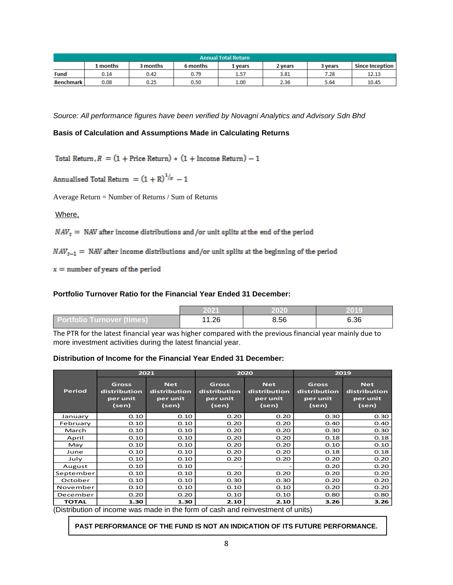| <b>Annual Total Return</b>                                        |      |      |      |      |                        |      |       |
|-------------------------------------------------------------------|------|------|------|------|------------------------|------|-------|
| L months<br>3 months<br>6 months<br>3 years<br>2 vears<br>1 vears |      |      |      |      | <b>Since Inception</b> |      |       |
| <b>Fund</b>                                                       | 0.14 | 0.42 | 0.79 | 1.57 | 3.81                   | 7.28 | 12.13 |
| <b>Benchmark</b>                                                  | 0.08 | 0.25 | 0.50 | 1.00 | 2.36                   | 5.64 | 10.45 |

*Source: All performance figures have been verified by Novagni Analytics and Advisory Sdn Bhd*

### **Basis of Calculation and Assumptions Made in Calculating Returns**

Total Return,  $R = (1 + \text{Price Return}) * (1 + \text{ Income Return}) - 1$ 

Annualised Total Return =  $(1 + R)^{1/x} - 1$ 

Average Return = Number of Returns / Sum of Returns

Where,

 $NAV_t$  = NAV after income distributions and /or unit splits at the end of the period

 $NAV_{t-1}$  = NAV after income distributions and/or unit splits at the beginning of the period

 $x =$  number of years of the period

#### **Portfolio Turnover Ratio for the Financial Year Ended 31 December:**

|                               | 2021 | 2020 | 2019 |
|-------------------------------|------|------|------|
| ∣ Portfolio Turnover (times)⊿ | .26  | 8.56 | 6.36 |

The PTR for the latest financial year was higher compared with the previous financial year mainly due to more investment activities during the latest financial year.

### **Distribution of Income for the Financial Year Ended 31 December:**

|               | 2021                                              |                                                 |                                            | 2020                                            | 2019                                       |                                                 |
|---------------|---------------------------------------------------|-------------------------------------------------|--------------------------------------------|-------------------------------------------------|--------------------------------------------|-------------------------------------------------|
| <b>Period</b> | <b>Gross</b><br>distribution<br>per unit<br>(sen) | <b>Net</b><br>distribution<br>per unit<br>(sen) | Gross<br>distribution<br>per unit<br>(sen) | <b>Net</b><br>distribution<br>per unit<br>(sen) | Gross<br>distribution<br>per unit<br>(sen) | <b>Net</b><br>distribution<br>per unit<br>(sen) |
| January       | 0.10                                              | 0.10                                            | 0.20                                       | 0.20                                            | 0.30                                       | 0.30                                            |
| February      | 0.10                                              | 0.10                                            | 0.20                                       | 0.20                                            | 0.40                                       | 0.40                                            |
| March         | 0.10                                              | 0.10                                            | 0.20                                       | 0.20                                            | 0.30                                       | 0.30                                            |
| April         | 0.10                                              | 0.10                                            | 0.20                                       | 0.20                                            | 0.18                                       | 0.18                                            |
| May           | 0.10                                              | 0.10                                            | 0.20                                       | 0.20                                            | 0.10                                       | 0.10                                            |
| June          | 0.10                                              | 0.10                                            | 0.20                                       | 0.20                                            | 0.18                                       | 0.18                                            |
| July          | 0.10                                              | 0.10                                            | 0.20                                       | 0.20                                            | 0.20                                       | 0.20                                            |
| August        | 0.10                                              | 0.10                                            |                                            |                                                 | 0.20                                       | 0.20                                            |
| September     | 0.10                                              | 0.10                                            | 0.20                                       | 0.20                                            | 0.20                                       | 0.20                                            |
| October       | 0.10                                              | 0.10                                            | 0.30                                       | 0.30                                            | 0.20                                       | 0.20                                            |
| November      | 0.10                                              | 0.10                                            | 0.10                                       | 0.10                                            | 0.20                                       | 0.20                                            |
| December      | 0.20                                              | 0.20                                            | 0.10                                       | 0.10                                            | 0.80                                       | 0.80                                            |
| <b>TOTAL</b>  | 1.30                                              | 1.30                                            | 2.10                                       | 2.10                                            | 3.26                                       | 3.26                                            |

(Distribution of income was made in the form of cash and reinvestment of units)

**PAST PERFORMANCE OF THE FUND IS NOT AN INDICATION OF ITS FUTURE PERFORMANCE.**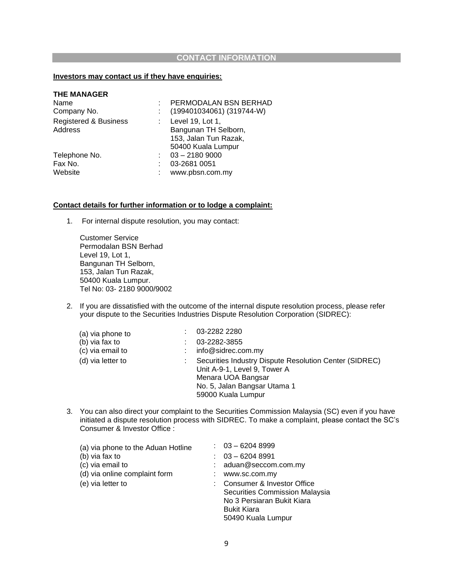### **CONTACT INFORMATION**

#### **Investors may contact us if they have enquiries:**

| PERMODALAN BSN BERHAD     |
|---------------------------|
| (199401034061) (319744-W) |
| Level 19, Lot 1,          |
| Bangunan TH Selborn,      |
| 153, Jalan Tun Razak,     |
| 50400 Kuala Lumpur        |
| $03 - 21809000$           |
| 03-2681 0051              |
| www.pbsn.com.my           |
|                           |

#### **Contact details for further information or to lodge a complaint:**

1. For internal dispute resolution, you may contact:

Customer Service Permodalan BSN Berhad Level 19, Lot 1, Bangunan TH Selborn, 153, Jalan Tun Razak, 50400 Kuala Lumpur. Tel No: 03- 2180 9000/9002

2. If you are dissatisfied with the outcome of the internal dispute resolution process, please refer your dispute to the Securities Industries Dispute Resolution Corporation (SIDREC):

| (a) via phone to  | 03-2282 2280                                                                                                                                                       |  |
|-------------------|--------------------------------------------------------------------------------------------------------------------------------------------------------------------|--|
| (b) via fax to    | 03-2282-3855                                                                                                                                                       |  |
| (c) via email to  | info@sidrec.com.my                                                                                                                                                 |  |
| (d) via letter to | Securities Industry Dispute Resolution Center (SIDREC)<br>Unit A-9-1, Level 9, Tower A<br>Menara UOA Bangsar<br>No. 5, Jalan Bangsar Utama 1<br>59000 Kuala Lumpur |  |

3. You can also direct your complaint to the Securities Commission Malaysia (SC) even if you have initiated a dispute resolution process with SIDREC. To make a complaint, please contact the SC's Consumer & Investor Office :

| (a) via phone to the Aduan Hotline | $: 03 - 62048999$                                                                                                                      |
|------------------------------------|----------------------------------------------------------------------------------------------------------------------------------------|
| (b) via fax to                     | $03 - 62048991$                                                                                                                        |
| (c) via email to                   | aduan@seccom.com.my                                                                                                                    |
| (d) via online complaint form      | www.sc.com.my                                                                                                                          |
| (e) via letter to                  | Consumer & Investor Office<br>Securities Commission Malaysia<br>No 3 Persiaran Bukit Kiara<br><b>Bukit Kiara</b><br>50490 Kuala Lumpur |